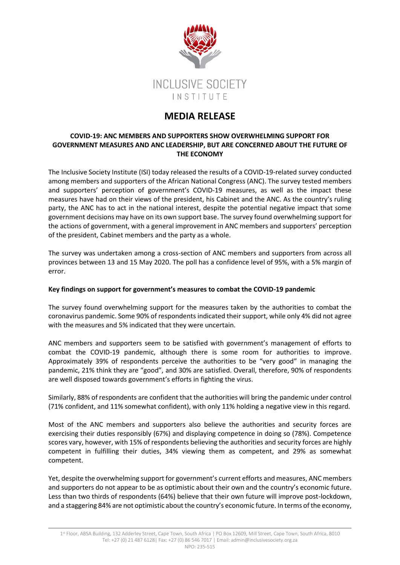

# **MEDIA RELEASE**

## **COVID-19: ANC MEMBERS AND SUPPORTERS SHOW OVERWHELMING SUPPORT FOR GOVERNMENT MEASURES AND ANC LEADERSHIP, BUT ARE CONCERNED ABOUT THE FUTURE OF THE ECONOMY**

The Inclusive Society Institute (ISI) today released the results of a COVID-19-related survey conducted among members and supporters of the African National Congress (ANC). The survey tested members and supporters' perception of government's COVID-19 measures, as well as the impact these measures have had on their views of the president, his Cabinet and the ANC. As the country's ruling party, the ANC has to act in the national interest, despite the potential negative impact that some government decisions may have on its own support base. The survey found overwhelming support for the actions of government, with a general improvement in ANC members and supporters' perception of the president, Cabinet members and the party as a whole.

The survey was undertaken among a cross-section of ANC members and supporters from across all provinces between 13 and 15 May 2020. The poll has a confidence level of 95%, with a 5% margin of error.

## **Key findings on support for government's measures to combat the COVID-19 pandemic**

The survey found overwhelming support for the measures taken by the authorities to combat the coronavirus pandemic. Some 90% of respondents indicated their support, while only 4% did not agree with the measures and 5% indicated that they were uncertain.

ANC members and supporters seem to be satisfied with government's management of efforts to combat the COVID-19 pandemic, although there is some room for authorities to improve. Approximately 39% of respondents perceive the authorities to be "very good" in managing the pandemic, 21% think they are "good", and 30% are satisfied. Overall, therefore, 90% of respondents are well disposed towards government's efforts in fighting the virus.

Similarly, 88% of respondents are confident that the authorities will bring the pandemic under control (71% confident, and 11% somewhat confident), with only 11% holding a negative view in this regard.

Most of the ANC members and supporters also believe the authorities and security forces are exercising their duties responsibly (67%) and displaying competence in doing so (78%). Competence scores vary, however, with 15% of respondents believing the authorities and security forces are highly competent in fulfilling their duties, 34% viewing them as competent, and 29% as somewhat competent.

Yet, despite the overwhelming support for government's current efforts and measures, ANC members and supporters do not appear to be as optimistic about their own and the country's economic future. Less than two thirds of respondents (64%) believe that their own future will improve post-lockdown, and a staggering 84% are not optimistic about the country's economic future. In terms of the economy,